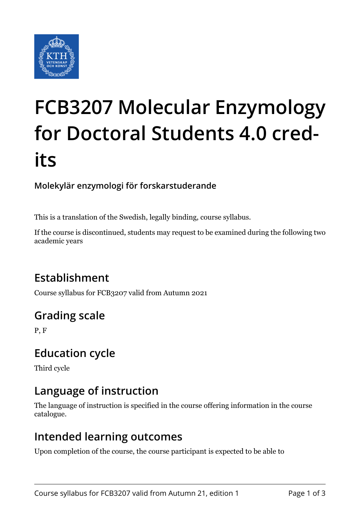

# **FCB3207 Molecular Enzymology for Doctoral Students 4.0 credits**

#### **Molekylär enzymologi för forskarstuderande**

This is a translation of the Swedish, legally binding, course syllabus.

If the course is discontinued, students may request to be examined during the following two academic years

## **Establishment**

Course syllabus for FCB3207 valid from Autumn 2021

## **Grading scale**

P, F

### **Education cycle**

Third cycle

### **Language of instruction**

The language of instruction is specified in the course offering information in the course catalogue.

#### **Intended learning outcomes**

Upon completion of the course, the course participant is expected to be able to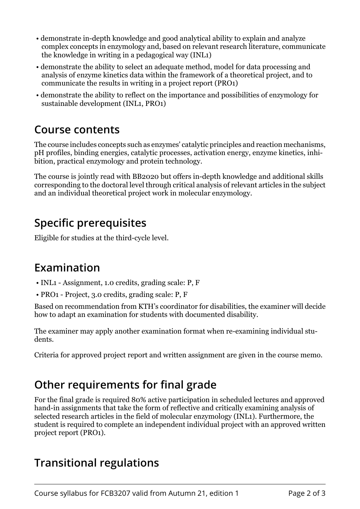- demonstrate in-depth knowledge and good analytical ability to explain and analyze complex concepts in enzymology and, based on relevant research literature, communicate the knowledge in writing in a pedagogical way (INL1)
- demonstrate the ability to select an adequate method, model for data processing and analysis of enzyme kinetics data within the framework of a theoretical project, and to communicate the results in writing in a project report (PRO1)
- demonstrate the ability to reflect on the importance and possibilities of enzymology for sustainable development (INL1, PRO1)

#### **Course contents**

The course includes concepts such as enzymes' catalytic principles and reaction mechanisms, pH profiles, binding energies, catalytic processes, activation energy, enzyme kinetics, inhibition, practical enzymology and protein technology.

The course is jointly read with BB2020 but offers in-depth knowledge and additional skills corresponding to the doctoral level through critical analysis of relevant articles in the subject and an individual theoretical project work in molecular enzymology.

## **Specific prerequisites**

Eligible for studies at the third-cycle level.

#### **Examination**

- INL1 Assignment, 1.0 credits, grading scale: P, F
- PRO1 Project, 3.0 credits, grading scale: P, F

Based on recommendation from KTH's coordinator for disabilities, the examiner will decide how to adapt an examination for students with documented disability.

The examiner may apply another examination format when re-examining individual students.

Criteria for approved project report and written assignment are given in the course memo.

### **Other requirements for final grade**

For the final grade is required 80% active participation in scheduled lectures and approved hand-in assignments that take the form of reflective and critically examining analysis of selected research articles in the field of molecular enzymology (INL1). Furthermore, the student is required to complete an independent individual project with an approved written project report (PRO1).

## **Transitional regulations**